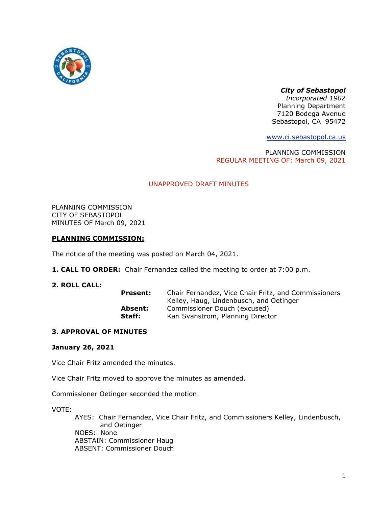

# *City of Sebastopol*

*Incorporated 1902* Planning Department 7120 Bodega Avenue Sebastopol, CA 95472

[www.ci.sebastopol.ca.us](http://www.ci.sebastopol.ca.us/)

PLANNING COMMISSION REGULAR MEETING OF: March 09, 2021

# UNAPPROVED DRAFT MINUTES

PLANNING COMMISSION CITY OF SEBASTOPOL MINUTES OF March 09, 2021

## **PLANNING COMMISSION:**

The notice of the meeting was posted on March 04, 2021.

**1. CALL TO ORDER:** Chair Fernandez called the meeting to order at 7:00 p.m.

# **2. ROLL CALL:**

| Chair Fernandez, Vice Chair Fritz, and Commissioners |
|------------------------------------------------------|
| Kelley, Haug, Lindenbusch, and Oetinger              |
| Commissioner Douch (excused)                         |
| Kari Svanstrom, Planning Director                    |
|                                                      |

## **3. APPROVAL OF MINUTES**

## **January 26, 2021**

Vice Chair Fritz amended the minutes.

Vice Chair Fritz moved to approve the minutes as amended.

Commissioner Oetinger seconded the motion.

VOTE:

AYES: Chair Fernandez, Vice Chair Fritz, and Commissioners Kelley, Lindenbusch, and Oetinger NOES: None ABSTAIN: Commissioner Haug ABSENT: Commissioner Douch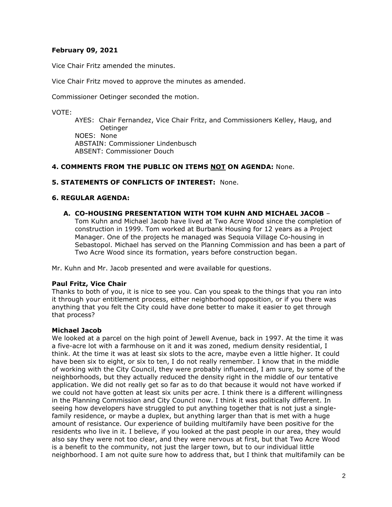# **February 09, 2021**

Vice Chair Fritz amended the minutes.

Vice Chair Fritz moved to approve the minutes as amended.

Commissioner Oetinger seconded the motion.

VOTE:

AYES: Chair Fernandez, Vice Chair Fritz, and Commissioners Kelley, Haug, and Oetinger NOES: None ABSTAIN: Commissioner Lindenbusch ABSENT: Commissioner Douch

## **4. COMMENTS FROM THE PUBLIC ON ITEMS NOT ON AGENDA:** None.

### **5. STATEMENTS OF CONFLICTS OF INTEREST:** None.

#### **6. REGULAR AGENDA:**

**A. CO-HOUSING PRESENTATION WITH TOM KUHN AND MICHAEL JACOB** – Tom Kuhn and Michael Jacob have lived at Two Acre Wood since the completion of construction in 1999. Tom worked at Burbank Housing for 12 years as a Project Manager. One of the projects he managed was Sequoia Village Co-housing in Sebastopol. Michael has served on the Planning Commission and has been a part of

Mr. Kuhn and Mr. Jacob presented and were available for questions.

#### **Paul Fritz, Vice Chair**

Thanks to both of you, it is nice to see you. Can you speak to the things that you ran into it through your entitlement process, either neighborhood opposition, or if you there was anything that you felt the City could have done better to make it easier to get through that process?

Two Acre Wood since its formation, years before construction began.

#### **Michael Jacob**

We looked at a parcel on the high point of Jewell Avenue, back in 1997. At the time it was a five-acre lot with a farmhouse on it and it was zoned, medium density residential, I think. At the time it was at least six slots to the acre, maybe even a little higher. It could have been six to eight, or six to ten, I do not really remember. I know that in the middle of working with the City Council, they were probably influenced, I am sure, by some of the neighborhoods, but they actually reduced the density right in the middle of our tentative application. We did not really get so far as to do that because it would not have worked if we could not have gotten at least six units per acre. I think there is a different willingness in the Planning Commission and City Council now. I think it was politically different. In seeing how developers have struggled to put anything together that is not just a singlefamily residence, or maybe a duplex, but anything larger than that is met with a huge amount of resistance. Our experience of building multifamily have been positive for the residents who live in it. I believe, if you looked at the past people in our area, they would also say they were not too clear, and they were nervous at first, but that Two Acre Wood is a benefit to the community, not just the larger town, but to our individual little neighborhood. I am not quite sure how to address that, but I think that multifamily can be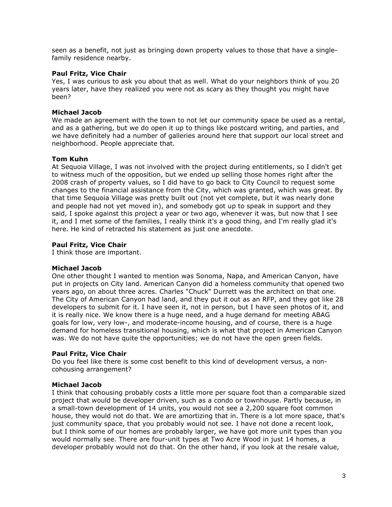seen as a benefit, not just as bringing down property values to those that have a singlefamily residence nearby.

# **Paul Fritz, Vice Chair**

Yes, I was curious to ask you about that as well. What do your neighbors think of you 20 years later, have they realized you were not as scary as they thought you might have been?

# **Michael Jacob**

We made an agreement with the town to not let our community space be used as a rental, and as a gathering, but we do open it up to things like postcard writing, and parties, and we have definitely had a number of galleries around here that support our local street and neighborhood. People appreciate that.

# **Tom Kuhn**

At Sequoia Village, I was not involved with the project during entitlements, so I didn't get to witness much of the opposition, but we ended up selling those homes right after the 2008 crash of property values, so I did have to go back to City Council to request some changes to the financial assistance from the City, which was granted, which was great. By that time Sequoia Village was pretty built out (not yet complete, but it was nearly done and people had not yet moved in), and somebody got up to speak in support and they said, I spoke against this project a year or two ago, whenever it was, but now that I see it, and I met some of the families, I really think it's a good thing, and I'm really glad it's here. He kind of retracted his statement as just one anecdote.

# **Paul Fritz, Vice Chair**

I think those are important.

## **Michael Jacob**

One other thought I wanted to mention was Sonoma, Napa, and American Canyon, have put in projects on City land. American Canyon did a homeless community that opened two years ago, on about three acres. Charles "Chuck" Durrett was the architect on that one. The City of American Canyon had land, and they put it out as an RFP, and they got like 28 developers to submit for it. I have seen it, not in person, but I have seen photos of it, and it is really nice. We know there is a huge need, and a huge demand for meeting ABAG goals for low, very low-, and moderate-income housing, and of course, there is a huge demand for homeless transitional housing, which is what that project in American Canyon was. We do not have quite the opportunities; we do not have the open green fields.

# **Paul Fritz, Vice Chair**

Do you feel like there is some cost benefit to this kind of development versus, a noncohousing arrangement?

# **Michael Jacob**

I think that cohousing probably costs a little more per square foot than a comparable sized project that would be developer driven, such as a condo or townhouse. Partly because, in a small-town development of 14 units, you would not see a 2,200 square foot common house, they would not do that. We are amortizing that in. There is a lot more space, that's just community space, that you probably would not see. I have not done a recent look, but I think some of our homes are probably larger, we have got more unit types than you would normally see. There are four-unit types at Two Acre Wood in just 14 homes, a developer probably would not do that. On the other hand, if you look at the resale value,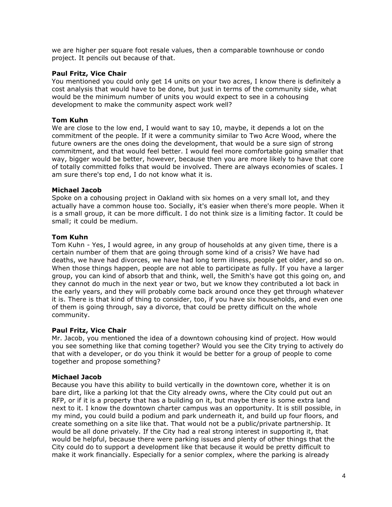we are higher per square foot resale values, then a comparable townhouse or condo project. It pencils out because of that.

### **Paul Fritz, Vice Chair**

You mentioned you could only get 14 units on your two acres, I know there is definitely a cost analysis that would have to be done, but just in terms of the community side, what would be the minimum number of units you would expect to see in a cohousing development to make the community aspect work well?

### **Tom Kuhn**

We are close to the low end, I would want to say 10, maybe, it depends a lot on the commitment of the people. If it were a community similar to Two Acre Wood, where the future owners are the ones doing the development, that would be a sure sign of strong commitment, and that would feel better. I would feel more comfortable going smaller that way, bigger would be better, however, because then you are more likely to have that core of totally committed folks that would be involved. There are always economies of scales. I am sure there's top end, I do not know what it is.

#### **Michael Jacob**

Spoke on a cohousing project in Oakland with six homes on a very small lot, and they actually have a common house too. Socially, it's easier when there's more people. When it is a small group, it can be more difficult. I do not think size is a limiting factor. It could be small; it could be medium.

#### **Tom Kuhn**

Tom Kuhn - Yes, I would agree, in any group of households at any given time, there is a certain number of them that are going through some kind of a crisis? We have had deaths, we have had divorces, we have had long term illness, people get older, and so on. When those things happen, people are not able to participate as fully. If you have a larger group, you can kind of absorb that and think, well, the Smith's have got this going on, and they cannot do much in the next year or two, but we know they contributed a lot back in the early years, and they will probably come back around once they get through whatever it is. There is that kind of thing to consider, too, if you have six households, and even one of them is going through, say a divorce, that could be pretty difficult on the whole community.

#### **Paul Fritz, Vice Chair**

Mr. Jacob, you mentioned the idea of a downtown cohousing kind of project. How would you see something like that coming together? Would you see the City trying to actively do that with a developer, or do you think it would be better for a group of people to come together and propose something?

## **Michael Jacob**

Because you have this ability to build vertically in the downtown core, whether it is on bare dirt, like a parking lot that the City already owns, where the City could put out an RFP, or if it is a property that has a building on it, but maybe there is some extra land next to it. I know the downtown charter campus was an opportunity. It is still possible, in my mind, you could build a podium and park underneath it, and build up four floors, and create something on a site like that. That would not be a public/private partnership. It would be all done privately. If the City had a real strong interest in supporting it, that would be helpful, because there were parking issues and plenty of other things that the City could do to support a development like that because it would be pretty difficult to make it work financially. Especially for a senior complex, where the parking is already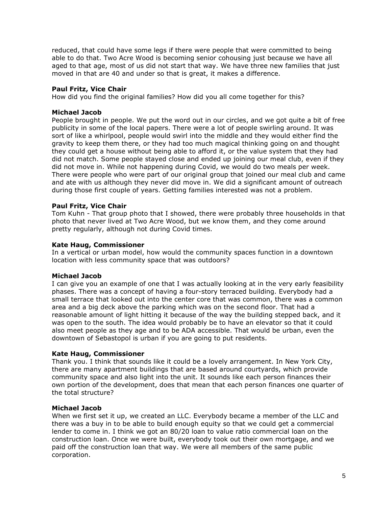reduced, that could have some legs if there were people that were committed to being able to do that. Two Acre Wood is becoming senior cohousing just because we have all aged to that age, most of us did not start that way. We have three new families that just moved in that are 40 and under so that is great, it makes a difference.

## **Paul Fritz, Vice Chair**

How did you find the original families? How did you all come together for this?

#### **Michael Jacob**

People brought in people. We put the word out in our circles, and we got quite a bit of free publicity in some of the local papers. There were a lot of people swirling around. It was sort of like a whirlpool, people would swirl into the middle and they would either find the gravity to keep them there, or they had too much magical thinking going on and thought they could get a house without being able to afford it, or the value system that they had did not match. Some people stayed close and ended up joining our meal club, even if they did not move in. While not happening during Covid, we would do two meals per week. There were people who were part of our original group that joined our meal club and came and ate with us although they never did move in. We did a significant amount of outreach during those first couple of years. Getting families interested was not a problem.

#### **Paul Fritz, Vice Chair**

Tom Kuhn - That group photo that I showed, there were probably three households in that photo that never lived at Two Acre Wood, but we know them, and they come around pretty regularly, although not during Covid times.

#### **Kate Haug, Commissioner**

In a vertical or urban model, how would the community spaces function in a downtown location with less community space that was outdoors?

#### **Michael Jacob**

I can give you an example of one that I was actually looking at in the very early feasibility phases. There was a concept of having a four-story terraced building. Everybody had a small terrace that looked out into the center core that was common, there was a common area and a big deck above the parking which was on the second floor. That had a reasonable amount of light hitting it because of the way the building stepped back, and it was open to the south. The idea would probably be to have an elevator so that it could also meet people as they age and to be ADA accessible. That would be urban, even the downtown of Sebastopol is urban if you are going to put residents.

#### **Kate Haug, Commissioner**

Thank you. I think that sounds like it could be a lovely arrangement. In New York City, there are many apartment buildings that are based around courtyards, which provide community space and also light into the unit. It sounds like each person finances their own portion of the development, does that mean that each person finances one quarter of the total structure?

#### **Michael Jacob**

When we first set it up, we created an LLC. Everybody became a member of the LLC and there was a buy in to be able to build enough equity so that we could get a commercial lender to come in. I think we got an 80/20 loan to value ratio commercial loan on the construction loan. Once we were built, everybody took out their own mortgage, and we paid off the construction loan that way. We were all members of the same public corporation.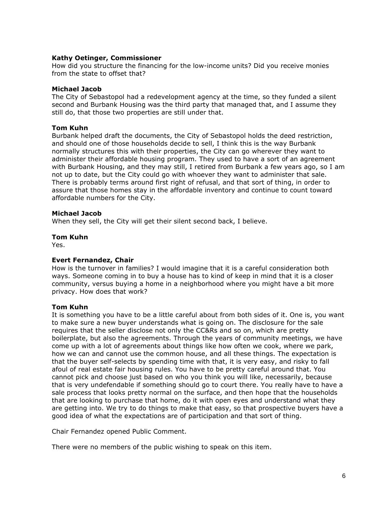## **Kathy Oetinger, Commissioner**

How did you structure the financing for the low-income units? Did you receive monies from the state to offset that?

### **Michael Jacob**

The City of Sebastopol had a redevelopment agency at the time, so they funded a silent second and Burbank Housing was the third party that managed that, and I assume they still do, that those two properties are still under that.

#### **Tom Kuhn**

Burbank helped draft the documents, the City of Sebastopol holds the deed restriction, and should one of those households decide to sell, I think this is the way Burbank normally structures this with their properties, the City can go wherever they want to administer their affordable housing program. They used to have a sort of an agreement with Burbank Housing, and they may still, I retired from Burbank a few years ago, so I am not up to date, but the City could go with whoever they want to administer that sale. There is probably terms around first right of refusal, and that sort of thing, in order to assure that those homes stay in the affordable inventory and continue to count toward affordable numbers for the City.

#### **Michael Jacob**

When they sell, the City will get their silent second back, I believe.

#### **Tom Kuhn**

Yes.

## **Evert Fernandez, Chair**

How is the turnover in families? I would imagine that it is a careful consideration both ways. Someone coming in to buy a house has to kind of keep in mind that it is a closer community, versus buying a home in a neighborhood where you might have a bit more privacy. How does that work?

## **Tom Kuhn**

It is something you have to be a little careful about from both sides of it. One is, you want to make sure a new buyer understands what is going on. The disclosure for the sale requires that the seller disclose not only the CC&Rs and so on, which are pretty boilerplate, but also the agreements. Through the years of community meetings, we have come up with a lot of agreements about things like how often we cook, where we park, how we can and cannot use the common house, and all these things. The expectation is that the buyer self-selects by spending time with that, it is very easy, and risky to fall afoul of real estate fair housing rules. You have to be pretty careful around that. You cannot pick and choose just based on who you think you will like, necessarily, because that is very undefendable if something should go to court there. You really have to have a sale process that looks pretty normal on the surface, and then hope that the households that are looking to purchase that home, do it with open eyes and understand what they are getting into. We try to do things to make that easy, so that prospective buyers have a good idea of what the expectations are of participation and that sort of thing.

Chair Fernandez opened Public Comment.

There were no members of the public wishing to speak on this item.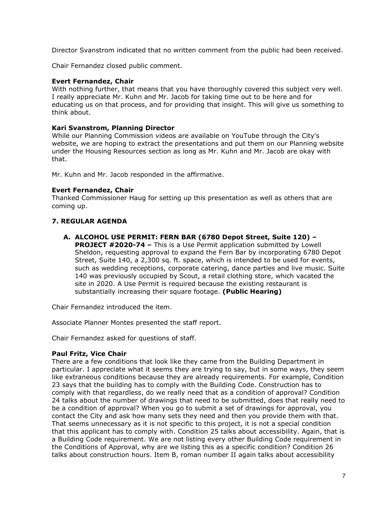Director Svanstrom indicated that no written comment from the public had been received.

Chair Fernandez closed public comment.

# **Evert Fernandez, Chair**

With nothing further, that means that you have thoroughly covered this subject very well. I really appreciate Mr. Kuhn and Mr. Jacob for taking time out to be here and for educating us on that process, and for providing that insight. This will give us something to think about.

## **Kari Svanstrom, Planning Director**

While our Planning Commission videos are available on YouTube through the City's website, we are hoping to extract the presentations and put them on our Planning website under the Housing Resources section as long as Mr. Kuhn and Mr. Jacob are okay with that.

Mr. Kuhn and Mr. Jacob responded in the affirmative.

## **Evert Fernandez, Chair**

Thanked Commissioner Haug for setting up this presentation as well as others that are coming up.

# **7. REGULAR AGENDA**

**A. ALCOHOL USE PERMIT: FERN BAR (6780 Depot Street, Suite 120) –**

**PROJECT #2020-74 –** This is a Use Permit application submitted by Lowell Sheldon, requesting approval to expand the Fern Bar by incorporating 6780 Depot Street, Suite 140, a 2,300 sq. ft. space, which is intended to be used for events, such as wedding receptions, corporate catering, dance parties and live music. Suite 140 was previously occupied by Scout, a retail clothing store, which vacated the site in 2020. A Use Permit is required because the existing restaurant is substantially increasing their square footage. **(Public Hearing)**

Chair Fernandez introduced the item.

Associate Planner Montes presented the staff report.

Chair Fernandez asked for questions of staff.

## **Paul Fritz, Vice Chair**

There are a few conditions that look like they came from the Building Department in particular. I appreciate what it seems they are trying to say, but in some ways, they seem like extraneous conditions because they are already requirements. For example, Condition 23 says that the building has to comply with the Building Code. Construction has to comply with that regardless, do we really need that as a condition of approval? Condition 24 talks about the number of drawings that need to be submitted, does that really need to be a condition of approval? When you go to submit a set of drawings for approval, you contact the City and ask how many sets they need and then you provide them with that. That seems unnecessary as it is not specific to this project, it is not a special condition that this applicant has to comply with. Condition 25 talks about accessibility. Again, that is a Building Code requirement. We are not listing every other Building Code requirement in the Conditions of Approval, why are we listing this as a specific condition? Condition 26 talks about construction hours. Item B, roman number II again talks about accessibility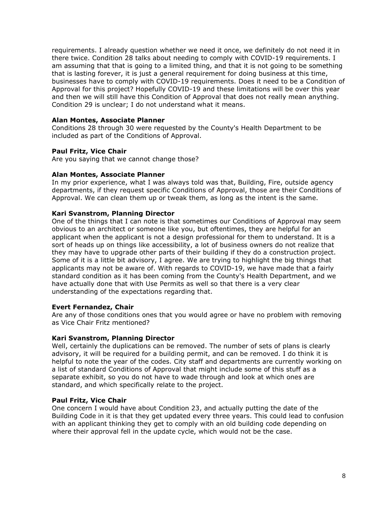requirements. I already question whether we need it once, we definitely do not need it in there twice. Condition 28 talks about needing to comply with COVID-19 requirements. I am assuming that that is going to a limited thing, and that it is not going to be something that is lasting forever, it is just a general requirement for doing business at this time, businesses have to comply with COVID-19 requirements. Does it need to be a Condition of Approval for this project? Hopefully COVID-19 and these limitations will be over this year and then we will still have this Condition of Approval that does not really mean anything. Condition 29 is unclear; I do not understand what it means.

# **Alan Montes, Associate Planner**

Conditions 28 through 30 were requested by the County's Health Department to be included as part of the Conditions of Approval.

# **Paul Fritz, Vice Chair**

Are you saying that we cannot change those?

## **Alan Montes, Associate Planner**

In my prior experience, what I was always told was that, Building, Fire, outside agency departments, if they request specific Conditions of Approval, those are their Conditions of Approval. We can clean them up or tweak them, as long as the intent is the same.

## **Kari Svanstrom, Planning Director**

One of the things that I can note is that sometimes our Conditions of Approval may seem obvious to an architect or someone like you, but oftentimes, they are helpful for an applicant when the applicant is not a design professional for them to understand. It is a sort of heads up on things like accessibility, a lot of business owners do not realize that they may have to upgrade other parts of their building if they do a construction project. Some of it is a little bit advisory, I agree. We are trying to highlight the big things that applicants may not be aware of. With regards to COVID-19, we have made that a fairly standard condition as it has been coming from the County's Health Department, and we have actually done that with Use Permits as well so that there is a very clear understanding of the expectations regarding that.

### **Evert Fernandez, Chair**

Are any of those conditions ones that you would agree or have no problem with removing as Vice Chair Fritz mentioned?

## **Kari Svanstrom, Planning Director**

Well, certainly the duplications can be removed. The number of sets of plans is clearly advisory, it will be required for a building permit, and can be removed. I do think it is helpful to note the year of the codes. City staff and departments are currently working on a list of standard Conditions of Approval that might include some of this stuff as a separate exhibit, so you do not have to wade through and look at which ones are standard, and which specifically relate to the project.

## **Paul Fritz, Vice Chair**

One concern I would have about Condition 23, and actually putting the date of the Building Code in it is that they get updated every three years. This could lead to confusion with an applicant thinking they get to comply with an old building code depending on where their approval fell in the update cycle, which would not be the case.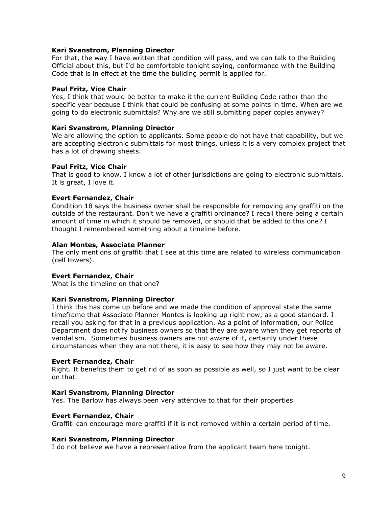### **Kari Svanstrom, Planning Director**

For that, the way I have written that condition will pass, and we can talk to the Building Official about this, but I'd be comfortable tonight saying, conformance with the Building Code that is in effect at the time the building permit is applied for.

#### **Paul Fritz, Vice Chair**

Yes, I think that would be better to make it the current Building Code rather than the specific year because I think that could be confusing at some points in time. When are we going to do electronic submittals? Why are we still submitting paper copies anyway?

#### **Kari Svanstrom, Planning Director**

We are allowing the option to applicants. Some people do not have that capability, but we are accepting electronic submittals for most things, unless it is a very complex project that has a lot of drawing sheets.

#### **Paul Fritz, Vice Chair**

That is good to know. I know a lot of other jurisdictions are going to electronic submittals. It is great, I love it.

#### **Evert Fernandez, Chair**

Condition 18 says the business owner shall be responsible for removing any graffiti on the outside of the restaurant. Don't we have a graffiti ordinance? I recall there being a certain amount of time in which it should be removed, or should that be added to this one? I thought I remembered something about a timeline before.

#### **Alan Montes, Associate Planner**

The only mentions of graffiti that I see at this time are related to wireless communication (cell towers).

#### **Evert Fernandez, Chair**

What is the timeline on that one?

#### **Kari Svanstrom, Planning Director**

I think this has come up before and we made the condition of approval state the same timeframe that Associate Planner Montes is looking up right now, as a good standard. I recall you asking for that in a previous application. As a point of information, our Police Department does notify business owners so that they are aware when they get reports of vandalism. Sometimes business owners are not aware of it, certainly under these circumstances when they are not there, it is easy to see how they may not be aware.

#### **Evert Fernandez, Chair**

Right. It benefits them to get rid of as soon as possible as well, so I just want to be clear on that.

#### **Kari Svanstrom, Planning Director**

Yes. The Barlow has always been very attentive to that for their properties.

#### **Evert Fernandez, Chair**

Graffiti can encourage more graffiti if it is not removed within a certain period of time.

#### **Kari Svanstrom, Planning Director**

I do not believe we have a representative from the applicant team here tonight.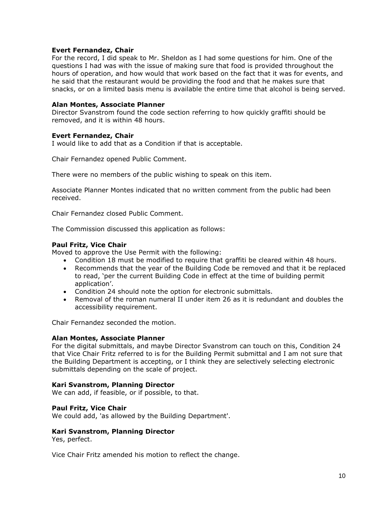### **Evert Fernandez, Chair**

For the record, I did speak to Mr. Sheldon as I had some questions for him. One of the questions I had was with the issue of making sure that food is provided throughout the hours of operation, and how would that work based on the fact that it was for events, and he said that the restaurant would be providing the food and that he makes sure that snacks, or on a limited basis menu is available the entire time that alcohol is being served.

#### **Alan Montes, Associate Planner**

Director Svanstrom found the code section referring to how quickly graffiti should be removed, and it is within 48 hours.

#### **Evert Fernandez, Chair**

I would like to add that as a Condition if that is acceptable.

Chair Fernandez opened Public Comment.

There were no members of the public wishing to speak on this item.

Associate Planner Montes indicated that no written comment from the public had been received.

Chair Fernandez closed Public Comment.

The Commission discussed this application as follows:

#### **Paul Fritz, Vice Chair**

Moved to approve the Use Permit with the following:

- Condition 18 must be modified to require that graffiti be cleared within 48 hours.
- Recommends that the year of the Building Code be removed and that it be replaced to read, 'per the current Building Code in effect at the time of building permit application'.
- Condition 24 should note the option for electronic submittals.
- Removal of the roman numeral II under item 26 as it is redundant and doubles the accessibility requirement.

Chair Fernandez seconded the motion.

## **Alan Montes, Associate Planner**

For the digital submittals, and maybe Director Svanstrom can touch on this, Condition 24 that Vice Chair Fritz referred to is for the Building Permit submittal and I am not sure that the Building Department is accepting, or I think they are selectively selecting electronic submittals depending on the scale of project.

## **Kari Svanstrom, Planning Director**

We can add, if feasible, or if possible, to that.

#### **Paul Fritz, Vice Chair**

We could add, 'as allowed by the Building Department'.

#### **Kari Svanstrom, Planning Director**

Yes, perfect.

Vice Chair Fritz amended his motion to reflect the change.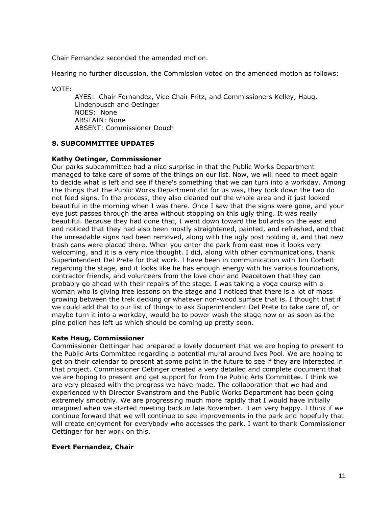Chair Fernandez seconded the amended motion.

Hearing no further discussion, the Commission voted on the amended motion as follows:

VOTE:

AYES: Chair Fernandez, Vice Chair Fritz, and Commissioners Kelley, Haug, Lindenbusch and Oetinger NOES: None ABSTAIN: None ABSENT: Commissioner Douch

## **8. SUBCOMMITTEE UPDATES**

#### **Kathy Oetinger, Commissioner**

Our parks subcommittee had a nice surprise in that the Public Works Department managed to take care of some of the things on our list. Now, we will need to meet again to decide what is left and see if there's something that we can turn into a workday. Among the things that the Public Works Department did for us was, they took down the two do not feed signs. In the process, they also cleaned out the whole area and it just looked beautiful in the morning when I was there. Once I saw that the signs were gone, and your eye just passes through the area without stopping on this ugly thing. It was really beautiful. Because they had done that, I went down toward the bollards on the east end and noticed that they had also been mostly straightened, painted, and refreshed, and that the unreadable signs had been removed, along with the ugly post holding it, and that new trash cans were placed there. When you enter the park from east now it looks very welcoming, and it is a very nice thought. I did, along with other communications, thank Superintendent Del Prete for that work. I have been in communication with Jim Corbett regarding the stage, and it looks like he has enough energy with his various foundations, contractor friends, and volunteers from the love choir and Peacetown that they can probably go ahead with their repairs of the stage. I was taking a yoga course with a woman who is giving free lessons on the stage and I noticed that there is a lot of moss growing between the trek decking or whatever non-wood surface that is. I thought that if we could add that to our list of things to ask Superintendent Del Prete to take care of, or maybe turn it into a workday, would be to power wash the stage now or as soon as the pine pollen has left us which should be coming up pretty soon.

## **Kate Haug, Commissioner**

Commissioner Oettinger had prepared a lovely document that we are hoping to present to the Public Arts Committee regarding a potential mural around Ives Pool. We are hoping to get on their calendar to present at some point in the future to see if they are interested in that project. Commissioner Oetinger created a very detailed and complete document that we are hoping to present and get support for from the Public Arts Committee. I think we are very pleased with the progress we have made. The collaboration that we had and experienced with Director Svanstrom and the Public Works Department has been going extremely smoothly. We are progressing much more rapidly that I would have initially imagined when we started meeting back in late November. I am very happy. I think if we continue forward that we will continue to see improvements in the park and hopefully that will create enjoyment for everybody who accesses the park. I want to thank Commissioner Oettinger for her work on this.

## **Evert Fernandez, Chair**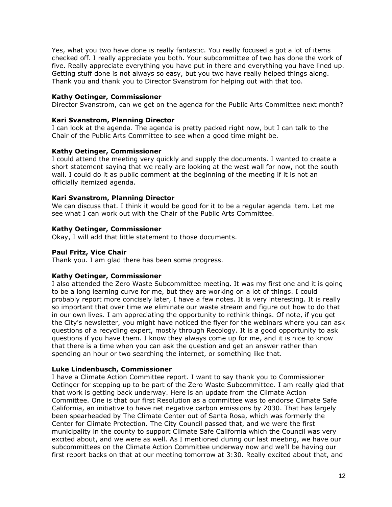Yes, what you two have done is really fantastic. You really focused a got a lot of items checked off. I really appreciate you both. Your subcommittee of two has done the work of five. Really appreciate everything you have put in there and everything you have lined up. Getting stuff done is not always so easy, but you two have really helped things along. Thank you and thank you to Director Svanstrom for helping out with that too.

# **Kathy Oetinger, Commissioner**

Director Svanstrom, can we get on the agenda for the Public Arts Committee next month?

# **Kari Svanstrom, Planning Director**

I can look at the agenda. The agenda is pretty packed right now, but I can talk to the Chair of the Public Arts Committee to see when a good time might be.

# **Kathy Oetinger, Commissioner**

I could attend the meeting very quickly and supply the documents. I wanted to create a short statement saying that we really are looking at the west wall for now, not the south wall. I could do it as public comment at the beginning of the meeting if it is not an officially itemized agenda.

# **Kari Svanstrom, Planning Director**

We can discuss that. I think it would be good for it to be a regular agenda item. Let me see what I can work out with the Chair of the Public Arts Committee.

## **Kathy Oetinger, Commissioner**

Okay, I will add that little statement to those documents.

# **Paul Fritz, Vice Chair**

Thank you. I am glad there has been some progress.

## **Kathy Oetinger, Commissioner**

I also attended the Zero Waste Subcommittee meeting. It was my first one and it is going to be a long learning curve for me, but they are working on a lot of things. I could probably report more concisely later, I have a few notes. It is very interesting. It is really so important that over time we eliminate our waste stream and figure out how to do that in our own lives. I am appreciating the opportunity to rethink things. Of note, if you get the City's newsletter, you might have noticed the flyer for the webinars where you can ask questions of a recycling expert, mostly through Recology. It is a good opportunity to ask questions if you have them. I know they always come up for me, and it is nice to know that there is a time when you can ask the question and get an answer rather than spending an hour or two searching the internet, or something like that.

## **Luke Lindenbusch, Commissioner**

I have a Climate Action Committee report. I want to say thank you to Commissioner Oetinger for stepping up to be part of the Zero Waste Subcommittee. I am really glad that that work is getting back underway. Here is an update from the Climate Action Committee. One is that our first Resolution as a committee was to endorse Climate Safe California, an initiative to have net negative carbon emissions by 2030. That has largely been spearheaded by The Climate Center out of Santa Rosa, which was formerly the Center for Climate Protection. The City Council passed that, and we were the first municipality in the county to support Climate Safe California which the Council was very excited about, and we were as well. As I mentioned during our last meeting, we have our subcommittees on the Climate Action Committee underway now and we'll be having our first report backs on that at our meeting tomorrow at 3:30. Really excited about that, and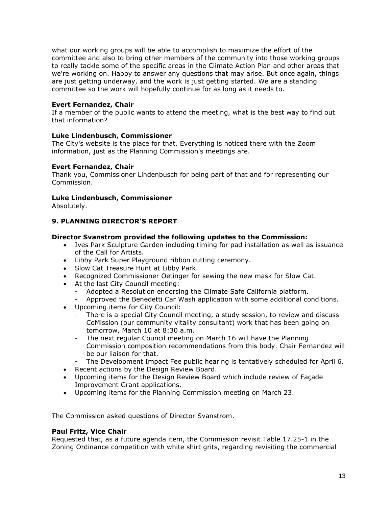what our working groups will be able to accomplish to maximize the effort of the committee and also to bring other members of the community into those working groups to really tackle some of the specific areas in the Climate Action Plan and other areas that we're working on. Happy to answer any questions that may arise. But once again, things are just getting underway, and the work is just getting started. We are a standing committee so the work will hopefully continue for as long as it needs to.

# **Evert Fernandez, Chair**

If a member of the public wants to attend the meeting, what is the best way to find out that information?

## **Luke Lindenbusch, Commissioner**

The City's website is the place for that. Everything is noticed there with the Zoom information, just as the Planning Commission's meetings are.

# **Evert Fernandez, Chair**

Thank you, Commissioner Lindenbusch for being part of that and for representing our Commission.

# **Luke Lindenbusch, Commissioner**

Absolutely.

# **9. PLANNING DIRECTOR'S REPORT**

## **Director Svanstrom provided the following updates to the Commission:**

- Ives Park Sculpture Garden including timing for pad installation as well as issuance of the Call for Artists.
- Libby Park Super Playground ribbon cutting ceremony.
- Slow Cat Treasure Hunt at Libby Park.
- Recognized Commissioner Oetinger for sewing the new mask for Slow Cat.
- At the last City Council meeting:
	- Adopted a Resolution endorsing the Climate Safe California platform.
	- Approved the Benedetti Car Wash application with some additional conditions.
- Upcoming items for City Council:
	- There is a special City Council meeting, a study session, to review and discuss CoMission (our community vitality consultant) work that has been going on tomorrow, March 10 at 8:30 a.m.
	- The next regular Council meeting on March 16 will have the Planning Commission composition recommendations from this body. Chair Fernandez will be our liaison for that.
	- The Development Impact Fee public hearing is tentatively scheduled for April 6.
- Recent actions by the Design Review Board.
- Upcoming items for the Design Review Board which include review of Façade Improvement Grant applications.
- Upcoming items for the Planning Commission meeting on March 23.

The Commission asked questions of Director Svanstrom.

## **Paul Fritz, Vice Chair**

Requested that, as a future agenda item, the Commission revisit Table 17.25-1 in the Zoning Ordinance competition with white shirt grits, regarding revisiting the commercial